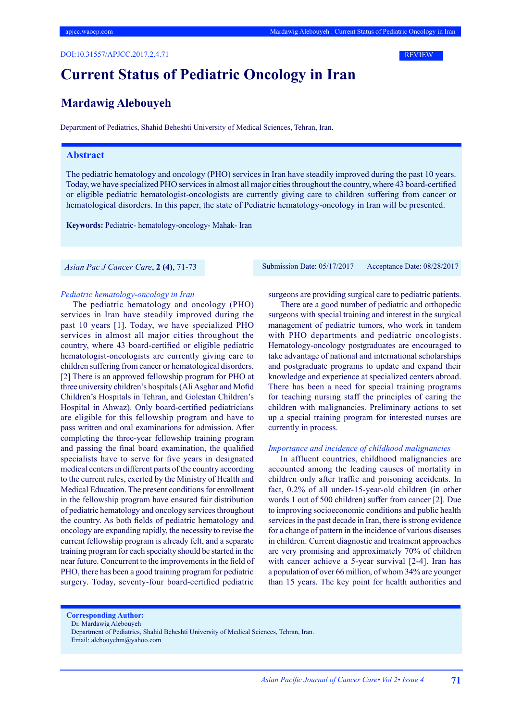DOI:10.31557/APJCC.2017.2.4.71



# **Current Status of Pediatric Oncology in Iran**

# **Mardawig Alebouyeh**

Department of Pediatrics, Shahid Beheshti University of Medical Sciences, Tehran, Iran.

## **Abstract**

The pediatric hematology and oncology (PHO) services in Iran have steadily improved during the past 10 years. Today, we have specialized PHO services in almost all major cities throughout the country, where 43 board-certified or eligible pediatric hematologist-oncologists are currently giving care to children suffering from cancer or hematological disorders. In this paper, the state of Pediatric hematology-oncology in Iran will be presented.

**Keywords:** Pediatric- hematology-oncology- Mahak- Iran

*Pediatric hematology-oncology in Iran*

The pediatric hematology and oncology (PHO) services in Iran have steadily improved during the past 10 years [1]. Today, we have specialized PHO services in almost all major cities throughout the country, where 43 board-certified or eligible pediatric hematologist-oncologists are currently giving care to children suffering from cancer or hematological disorders. [2] There is an approved fellowship program for PHO at three university children's hospitals (Ali Asghar and Mofid Children's Hospitals in Tehran, and Golestan Children's Hospital in Ahwaz). Only board-certified pediatricians are eligible for this fellowship program and have to pass written and oral examinations for admission. After completing the three-year fellowship training program and passing the final board examination, the qualified specialists have to serve for five years in designated medical centers in different parts of the country according to the current rules, exerted by the Ministry of Health and Medical Education. The present conditions for enrollment in the fellowship program have ensured fair distribution of pediatric hematology and oncology services throughout the country. As both fields of pediatric hematology and oncology are expanding rapidly, the necessity to revise the current fellowship program is already felt, and a separate training program for each specialty should be started in the near future. Concurrent to the improvements in the field of PHO, there has been a good training program for pediatric surgery. Today, seventy-four board-certified pediatric

 *Asian Pac J Cancer Care*, **2 (4)**, 71-73 Submission Date: 05/17/2017 Acceptance Date: 08/28/2017

surgeons are providing surgical care to pediatric patients.

There are a good number of pediatric and orthopedic surgeons with special training and interest in the surgical management of pediatric tumors, who work in tandem with PHO departments and pediatric oncologists. Hematology-oncology postgraduates are encouraged to take advantage of national and international scholarships and postgraduate programs to update and expand their knowledge and experience at specialized centers abroad. There has been a need for special training programs for teaching nursing staff the principles of caring the children with malignancies. Preliminary actions to set up a special training program for interested nurses are currently in process.

#### *Importance and incidence of childhood malignancies*

In affluent countries, childhood malignancies are accounted among the leading causes of mortality in children only after traffic and poisoning accidents. In fact, 0.2% of all under-15-year-old children (in other words 1 out of 500 children) suffer from cancer [2]. Due to improving socioeconomic conditions and public health services in the past decade in Iran, there is strong evidence for a change of pattern in the incidence of various diseases in children. Current diagnostic and treatment approaches are very promising and approximately 70% of children with cancer achieve a 5-year survival [2-4]. Iran has a population of over 66 million, of whom 34% are younger than 15 years. The key point for health authorities and

**Corresponding Author:**

Dr. Mardawig Alebouyeh

Department of Pediatrics, Shahid Beheshti University of Medical Sciences, Tehran, Iran. Email: alebouyehm@yahoo.com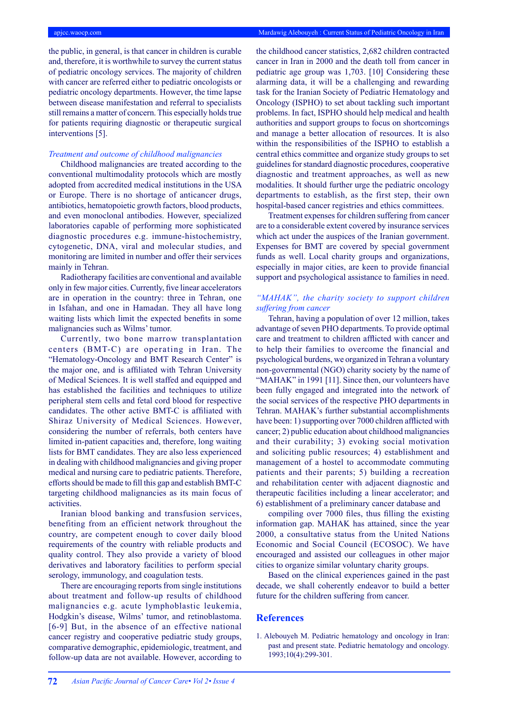the public, in general, is that cancer in children is curable and, therefore, it is worthwhile to survey the current status of pediatric oncology services. The majority of children with cancer are referred either to pediatric oncologists or pediatric oncology departments. However, the time lapse between disease manifestation and referral to specialists still remains a matter of concern. This especially holds true for patients requiring diagnostic or therapeutic surgical interventions [5].

#### *Treatment and outcome of childhood malignancies*

Childhood malignancies are treated according to the conventional multimodality protocols which are mostly adopted from accredited medical institutions in the USA or Europe. There is no shortage of anticancer drugs, antibiotics, hematopoietic growth factors, blood products, and even monoclonal antibodies. However, specialized laboratories capable of performing more sophisticated diagnostic procedures e.g. immune-histochemistry, cytogenetic, DNA, viral and molecular studies, and monitoring are limited in number and offer their services mainly in Tehran.

Radiotherapy facilities are conventional and available only in few major cities. Currently, five linear accelerators are in operation in the country: three in Tehran, one in Isfahan, and one in Hamadan. They all have long waiting lists which limit the expected benefits in some malignancies such as Wilms' tumor.

Currently, two bone marrow transplantation centers (BMT-C) are operating in Iran. The "Hematology-Oncology and BMT Research Center" is the major one, and is affiliated with Tehran University of Medical Sciences. It is well staffed and equipped and has established the facilities and techniques to utilize peripheral stem cells and fetal cord blood for respective candidates. The other active BMT-C is affiliated with Shiraz University of Medical Sciences. However, considering the number of referrals, both centers have limited in-patient capacities and, therefore, long waiting lists for BMT candidates. They are also less experienced in dealing with childhood malignancies and giving proper medical and nursing care to pediatric patients. Therefore, efforts should be made to fill this gap and establish BMT-C targeting childhood malignancies as its main focus of activities.

Iranian blood banking and transfusion services, benefiting from an efficient network throughout the country, are competent enough to cover daily blood requirements of the country with reliable products and quality control. They also provide a variety of blood derivatives and laboratory facilities to perform special serology, immunology, and coagulation tests.

There are encouraging reports from single institutions about treatment and follow-up results of childhood malignancies e.g. acute lymphoblastic leukemia, Hodgkin's disease, Wilms' tumor, and retinoblastoma. [6-9] But, in the absence of an effective national cancer registry and cooperative pediatric study groups, comparative demographic, epidemiologic, treatment, and follow-up data are not available. However, according to

the childhood cancer statistics, 2,682 children contracted cancer in Iran in 2000 and the death toll from cancer in pediatric age group was 1,703. [10] Considering these alarming data, it will be a challenging and rewarding task for the Iranian Society of Pediatric Hematology and Oncology (ISPHO) to set about tackling such important problems. In fact, ISPHO should help medical and health authorities and support groups to focus on shortcomings and manage a better allocation of resources. It is also within the responsibilities of the ISPHO to establish a central ethics committee and organize study groups to set guidelines for standard diagnostic procedures, cooperative diagnostic and treatment approaches, as well as new modalities. It should further urge the pediatric oncology departments to establish, as the first step, their own hospital-based cancer registries and ethics committees.

Treatment expenses for children suffering from cancer are to a considerable extent covered by insurance services which act under the auspices of the Iranian government. Expenses for BMT are covered by special government funds as well. Local charity groups and organizations, especially in major cities, are keen to provide financial support and psychological assistance to families in need.

## *"MAHAK", the charity society to support children suffering from cancer*

Tehran, having a population of over 12 million, takes advantage of seven PHO departments. To provide optimal care and treatment to children afflicted with cancer and to help their families to overcome the financial and psychological burdens, we organized in Tehran a voluntary non-governmental (NGO) charity society by the name of "MAHAK" in 1991 [11]. Since then, our volunteers have been fully engaged and integrated into the network of the social services of the respective PHO departments in Tehran. MAHAK's further substantial accomplishments have been: 1) supporting over 7000 children afflicted with cancer; 2) public education about childhood malignancies and their curability; 3) evoking social motivation and soliciting public resources; 4) establishment and management of a hostel to accommodate commuting patients and their parents; 5) building a recreation and rehabilitation center with adjacent diagnostic and therapeutic facilities including a linear accelerator; and 6) establishment of a preliminary cancer database and

compiling over 7000 files, thus filling the existing information gap. MAHAK has attained, since the year 2000, a consultative status from the United Nations Economic and Social Council (ECOSOC). We have encouraged and assisted our colleagues in other major cities to organize similar voluntary charity groups.

Based on the clinical experiences gained in the past decade, we shall coherently endeavor to build a better future for the children suffering from cancer.

### **References**

1. Alebouyeh M. Pediatric hematology and oncology in Iran: past and present state. Pediatric hematology and oncology. 1993;10(4):299-301.